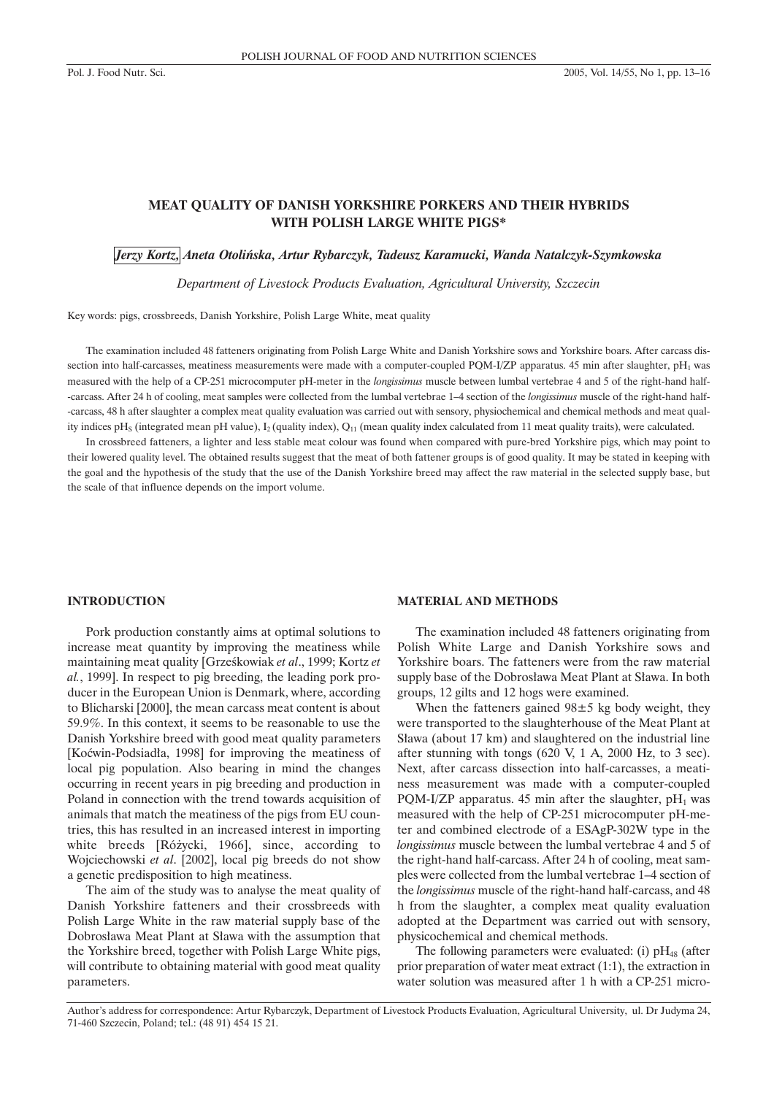# **MEAT QUALITY OF DANISH YORKSHIRE PORKERS AND THEIR HYBRIDS WITH POLISH LARGE WHITE PIGS\***

*Jerzy Kortz, Aneta Otoliñska, Artur Rybarczyk, Tadeusz Karamucki, Wanda Natalczyk-Szymkowska*

*Department of Livestock Products Evaluation, Agricultural University, Szczecin*

Key words: pigs, crossbreeds, Danish Yorkshire, Polish Large White, meat quality

The examination included 48 fatteners originating from Polish Large White and Danish Yorkshire sows and Yorkshire boars. After carcass dissection into half-carcasses, meatiness measurements were made with a computer-coupled PQM-I/ZP apparatus. 45 min after slaughter, pH<sub>1</sub> was measured with the help of a CP-251 microcomputer pH-meter in the *longissimus* muscle between lumbal vertebrae 4 and 5 of the right-hand half- -carcass. After 24 h of cooling, meat samples were collected from the lumbal vertebrae 1–4 section of the *longissimus* muscle of the right-hand half- -carcass, 48 h after slaughter a complex meat quality evaluation was carried out with sensory, physiochemical and chemical methods and meat quality indices pH<sub>S</sub> (integrated mean pH value),  $I_2$  (quality index),  $Q_{11}$  (mean quality index calculated from 11 meat quality traits), were calculated.

In crossbreed fatteners, a lighter and less stable meat colour was found when compared with pure-bred Yorkshire pigs, which may point to their lowered quality level. The obtained results suggest that the meat of both fattener groups is of good quality. It may be stated in keeping with the goal and the hypothesis of the study that the use of the Danish Yorkshire breed may affect the raw material in the selected supply base, but the scale of that influence depends on the import volume.

#### **INTRODUCTION**

Pork production constantly aims at optimal solutions to increase meat quantity by improving the meatiness while maintaining meat quality [Grześkowiak *et al.*, 1999; Kortz *et al.*, 1999]. In respect to pig breeding, the leading pork producer in the European Union is Denmark, where, according to Blicharski [2000], the mean carcass meat content is about 59.9%. In this context, it seems to be reasonable to use the Danish Yorkshire breed with good meat quality parameters [Koćwin-Podsiadła, 1998] for improving the meatiness of local pig population. Also bearing in mind the changes occurring in recent years in pig breeding and production in Poland in connection with the trend towards acquisition of animals that match the meatiness of the pigs from EU countries, this has resulted in an increased interest in importing white breeds [Różycki, 1966], since, according to Wojciechowski *et al*. [2002], local pig breeds do not show a genetic predisposition to high meatiness.

The aim of the study was to analyse the meat quality of Danish Yorkshire fatteners and their crossbreeds with Polish Large White in the raw material supply base of the Dobrosława Meat Plant at Sława with the assumption that the Yorkshire breed, together with Polish Large White pigs, will contribute to obtaining material with good meat quality parameters.

#### **MATERIAL AND METHODS**

The examination included 48 fatteners originating from Polish White Large and Danish Yorkshire sows and Yorkshire boars. The fatteners were from the raw material supply base of the Dobrosława Meat Plant at Sława. In both groups, 12 gilts and 12 hogs were examined.

When the fatteners gained  $98\pm 5$  kg body weight, they were transported to the slaughterhouse of the Meat Plant at Sława (about 17 km) and slaughtered on the industrial line after stunning with tongs (620 V, 1 A, 2000 Hz, to 3 sec). Next, after carcass dissection into half-carcasses, a meatiness measurement was made with a computer-coupled PQM-I/ZP apparatus. 45 min after the slaughter,  $pH_1$  was measured with the help of CP-251 microcomputer pH-meter and combined electrode of a ESAgP-302W type in the *longissimus* muscle between the lumbal vertebrae 4 and 5 of the right-hand half-carcass. After 24 h of cooling, meat samples were collected from the lumbal vertebrae 1–4 section of the *longissimus* muscle of the right-hand half-carcass, and 48 h from the slaughter, a complex meat quality evaluation adopted at the Department was carried out with sensory, physicochemical and chemical methods.

The following parameters were evaluated: (i)  $pH_{48}$  (after prior preparation of water meat extract (1:1), the extraction in water solution was measured after 1 h with a CP-251 micro-

Author's address for correspondence: Artur Rybarczyk, Department of Livestock Products Evaluation, Agricultural University, ul. Dr Judyma 24, 71-460 Szczecin, Poland; tel.: (48 91) 454 15 21.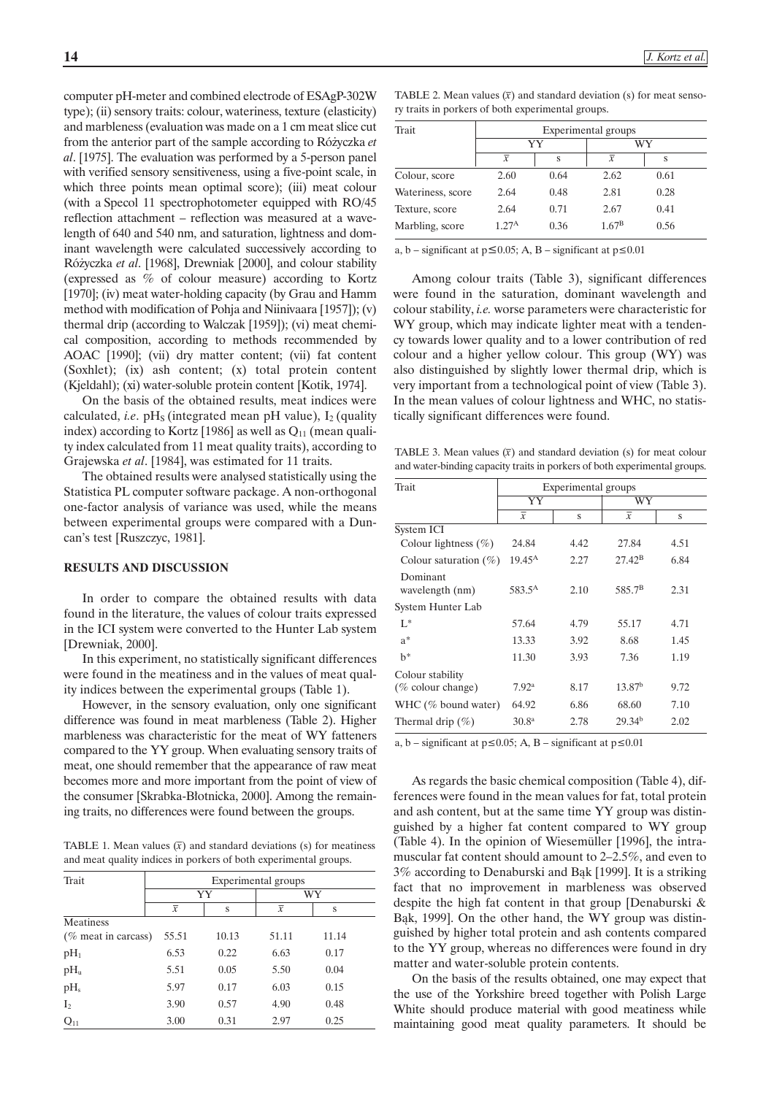computer pH-meter and combined electrode of ESAgP-302W type); (ii) sensory traits: colour, wateriness, texture (elasticity) and marbleness (evaluation was made on a 1 cm meat slice cut from the anterior part of the sample according to Ró¿yczka *et al*. [1975]. The evaluation was performed by a 5-person panel with verified sensory sensitiveness, using a five-point scale, in which three points mean optimal score); (iii) meat colour (with a Specol 11 spectrophotometer equipped with RO/45 reflection attachment – reflection was measured at a wavelength of 640 and 540 nm, and saturation, lightness and dominant wavelength were calculated successively according to Ró¿yczka *et al*. [1968], Drewniak [2000], and colour stability (expressed as % of colour measure) according to Kortz [1970]; (iv) meat water-holding capacity (by Grau and Hamm method with modification of Pohja and Niinivaara [1957]); (v) thermal drip (according to Walczak [1959]); (vi) meat chemical composition, according to methods recommended by AOAC [1990]; (vii) dry matter content; (vii) fat content (Soxhlet); (ix) ash content; (x) total protein content (Kjeldahl); (xi) water-soluble protein content [Kotik, 1974].

On the basis of the obtained results, meat indices were calculated, *i.e.*  $pH<sub>S</sub>$  (integrated mean  $pH$  value),  $I<sub>2</sub>$  (quality index) according to Kortz [1986] as well as  $Q_{11}$  (mean quality index calculated from 11 meat quality traits), according to Grajewska *et al*. [1984], was estimated for 11 traits.

The obtained results were analysed statistically using the Statistica PL computer software package. A non-orthogonal one-factor analysis of variance was used, while the means between experimental groups were compared with a Duncan's test [Ruszczyc, 1981].

## **RESULTS AND DISCUSSION**

In order to compare the obtained results with data found in the literature, the values of colour traits expressed in the ICI system were converted to the Hunter Lab system [Drewniak, 2000].

In this experiment, no statistically significant differences were found in the meatiness and in the values of meat quality indices between the experimental groups (Table 1).

However, in the sensory evaluation, only one significant difference was found in meat marbleness (Table 2). Higher marbleness was characteristic for the meat of WY fatteners compared to the YY group. When evaluating sensory traits of meat, one should remember that the appearance of raw meat becomes more and more important from the point of view of the consumer [Skrabka-Błotnicka, 2000]. Among the remaining traits, no differences were found between the groups.

TABLE 1. Mean values  $(\bar{x})$  and standard deviations (s) for meatiness and meat quality indices in porkers of both experimental groups.

| Trait                  | Experimental groups |       |                |       |  |
|------------------------|---------------------|-------|----------------|-------|--|
|                        | YY                  |       | WY             |       |  |
|                        | $\overline{x}$      | S     | $\overline{x}$ | S     |  |
| Meatiness              |                     |       |                |       |  |
| $(\%$ meat in carcass) | 55.51               | 10.13 | 51.11          | 11.14 |  |
| $pH_1$                 | 6.53                | 0.22  | 6.63           | 0.17  |  |
| $pH_u$                 | 5.51                | 0.05  | 5.50           | 0.04  |  |
| pH <sub>s</sub>        | 5.97                | 0.17  | 6.03           | 0.15  |  |
| I <sub>2</sub>         | 3.90                | 0.57  | 4.90           | 0.48  |  |
| $Q_{11}$               | 3.00                | 0.31  | 2.97           | 0.25  |  |

TABLE 2. Mean values  $(\bar{x})$  and standard deviation (s) for meat sensory traits in porkers of both experimental groups.

| Trait             | Experimental groups |      |                |      |  |
|-------------------|---------------------|------|----------------|------|--|
|                   | YY                  |      |                | WY   |  |
|                   | $\overline{x}$      | S    | $\overline{x}$ | S    |  |
| Colour, score     | 2.60                | 0.64 | 2.62           | 0.61 |  |
| Wateriness, score | 2.64                | 0.48 | 2.81           | 0.28 |  |
| Texture, score    | 2.64                | 0.71 | 2.67           | 0.41 |  |
| Marbling, score   | 1.27 <sup>A</sup>   | 0.36 | $1.67^{\rm B}$ | 0.56 |  |

a, b – significant at  $p \le 0.05$ ; A, B – significant at  $p \le 0.01$ 

Among colour traits (Table 3), significant differences were found in the saturation, dominant wavelength and colour stability, *i.e.* worse parameters were characteristic for WY group, which may indicate lighter meat with a tendency towards lower quality and to a lower contribution of red colour and a higher yellow colour. This group (WY) was also distinguished by slightly lower thermal drip, which is very important from a technological point of view (Table 3). In the mean values of colour lightness and WHC, no statistically significant differences were found.

TABLE 3. Mean values  $(\bar{x})$  and standard deviation (s) for meat colour and water-binding capacity traits in porkers of both experimental groups.

| Trait                       | Experimental groups |      |                    |      |  |
|-----------------------------|---------------------|------|--------------------|------|--|
|                             | YY                  |      | WY                 |      |  |
|                             | $\overline{x}$      | S    | $\overline{x}$     | S    |  |
| System ICI                  |                     |      |                    |      |  |
| Colour lightness $(\% )$    | 24.84               | 4.42 | 27.84              | 4.51 |  |
| Colour saturation $(\%)$    | $19.45^{\rm A}$     | 2.27 | $27.42^{\rm B}$    | 6.84 |  |
| Dominant<br>wavelength (nm) | 583.5 <sup>A</sup>  | 2.10 | 585.7 <sup>B</sup> | 2.31 |  |
| System Hunter Lab           |                     |      |                    |      |  |
| $L^*$                       | 57.64               | 4.79 | 55.17              | 4.71 |  |
| $a^*$                       | 13.33               | 3.92 | 8.68               | 1.45 |  |
| $h^*$                       | 11.30               | 3.93 | 7.36               | 1.19 |  |
| Colour stability            |                     |      |                    |      |  |
| $(\%$ colour change)        | 7.92 <sup>a</sup>   | 8.17 | 13.87 <sup>b</sup> | 9.72 |  |
| WHC $(\%$ bound water)      | 64.92               | 6.86 | 68.60              | 7.10 |  |
| Thermal drip $(\% )$        | 30.8 <sup>a</sup>   | 2.78 | 29.34 <sup>b</sup> | 2.02 |  |

a, b – significant at  $p \le 0.05$ ; A, B – significant at  $p \le 0.01$ 

As regards the basic chemical composition (Table 4), differences were found in the mean values for fat, total protein and ash content, but at the same time YY group was distinguished by a higher fat content compared to WY group (Table 4). In the opinion of Wiesemüller [1996], the intramuscular fat content should amount to 2–2.5%, and even to 3% according to Denaburski and Bąk [1999]. It is a striking fact that no improvement in marbleness was observed despite the high fat content in that group [Denaburski & Bąk, 1999]. On the other hand, the WY group was distinguished by higher total protein and ash contents compared to the YY group, whereas no differences were found in dry matter and water-soluble protein contents.

On the basis of the results obtained, one may expect that the use of the Yorkshire breed together with Polish Large White should produce material with good meatiness while maintaining good meat quality parameters. It should be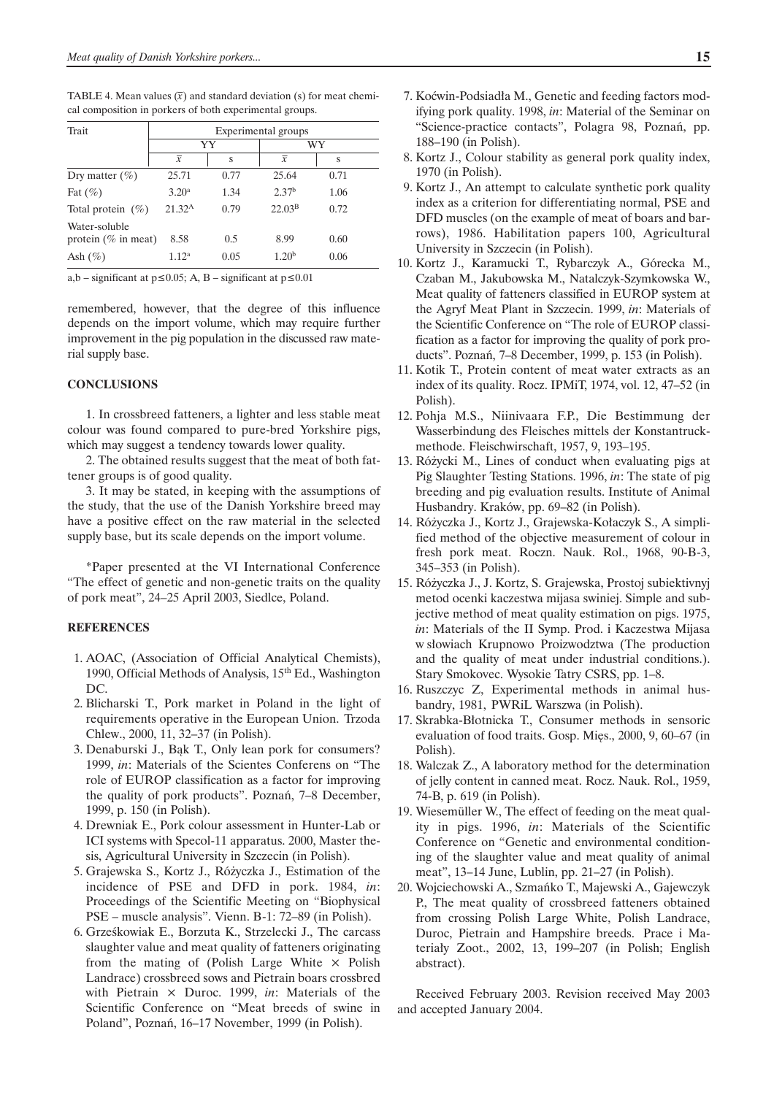TABLE 4. Mean values  $(\bar{x})$  and standard deviation (s) for meat chemical composition in porkers of both experimental groups.

| Trait                                    | Experimental groups |      |                    |      |  |
|------------------------------------------|---------------------|------|--------------------|------|--|
|                                          |                     | YY   |                    | WY   |  |
|                                          | $\overline{x}$      | S    | $\overline{x}$     | S    |  |
| Dry matter $(\%)$                        | 25.71               | 0.77 | 25.64              | 0.71 |  |
| Fat $(\% )$                              | 3.20 <sup>a</sup>   | 1.34 | 2.37 <sup>b</sup>  | 1.06 |  |
| Total protein $(\%)$                     | 21.32 <sup>A</sup>  | 0.79 | 22.03 <sup>B</sup> | 0.72 |  |
| Water-soluble<br>protein ( $\%$ in meat) | 8.58                | 0.5  | 8.99               | 0.60 |  |
| Ash $(\%)$                               | 1.12 <sup>a</sup>   | 0.05 | 1.20 <sup>b</sup>  | 0.06 |  |

a,b – significant at  $p \le 0.05$ ; A, B – significant at  $p \le 0.01$ 

remembered, however, that the degree of this influence depends on the import volume, which may require further improvement in the pig population in the discussed raw material supply base.

### **CONCLUSIONS**

1. In crossbreed fatteners, a lighter and less stable meat colour was found compared to pure-bred Yorkshire pigs, which may suggest a tendency towards lower quality.

2. The obtained results suggest that the meat of both fattener groups is of good quality.

3. It may be stated, in keeping with the assumptions of the study, that the use of the Danish Yorkshire breed may have a positive effect on the raw material in the selected supply base, but its scale depends on the import volume.

\*Paper presented at the VI International Conference "The effect of genetic and non-genetic traits on the quality of pork meat", 24–25 April 2003, Siedlce, Poland.

## **REFERENCES**

- 1. AOAC, (Association of Official Analytical Chemists), 1990, Official Methods of Analysis, 15<sup>th</sup> Ed., Washington DC.
- 2. Blicharski T., Pork market in Poland in the light of requirements operative in the European Union. Trzoda Chlew., 2000, 11, 32–37 (in Polish).
- 3. Denaburski J., Bak T., Only lean pork for consumers? 1999, *in*: Materials of the Scientes Conferens on "The role of EUROP classification as a factor for improving the quality of pork products". Poznañ, 7–8 December, 1999, p. 150 (in Polish).
- 4. Drewniak E., Pork colour assessment in Hunter-Lab or ICI systems with Specol-11 apparatus. 2000, Master thesis, Agricultural University in Szczecin (in Polish).
- 5. Grajewska S., Kortz J., Ró¿yczka J., Estimation of the incidence of PSE and DFD in pork. 1984, *in*: Proceedings of the Scientific Meeting on "Biophysical PSE – muscle analysis". Vienn. B-1: 72–89 (in Polish).
- 6. Grześkowiak E., Borzuta K., Strzelecki J., The carcass slaughter value and meat quality of fatteners originating from the mating of (Polish Large White  $\times$  Polish Landrace) crossbreed sows and Pietrain boars crossbred with Pietrain  $\times$  Duroc. 1999, *in*: Materials of the Scientific Conference on "Meat breeds of swine in Poland", Poznañ, 16–17 November, 1999 (in Polish).

8. Kortz J., Colour stability as general pork quality index, 1970 (in Polish).

188–190 (in Polish).

- 9. Kortz J., An attempt to calculate synthetic pork quality index as a criterion for differentiating normal, PSE and DFD muscles (on the example of meat of boars and barrows), 1986. Habilitation papers 100, Agricultural University in Szczecin (in Polish).
- 10. Kortz J., Karamucki T., Rybarczyk A., Górecka M., Czaban M., Jakubowska M., Natalczyk-Szymkowska W., Meat quality of fatteners classified in EUROP system at the Agryf Meat Plant in Szczecin. 1999, *in*: Materials of the Scientific Conference on "The role of EUROP classification as a factor for improving the quality of pork products". Poznañ, 7–8 December, 1999, p. 153 (in Polish).
- 11. Kotik T., Protein content of meat water extracts as an index of its quality. Rocz. IPMiT, 1974, vol. 12, 47–52 (in Polish).
- 12. Pohja M.S., Niinivaara F.P., Die Bestimmung der Wasserbindung des Fleisches mittels der Konstantruckmethode. Fleischwirschaft, 1957, 9, 193–195.
- 13. Ró¿ycki M., Lines of conduct when evaluating pigs at Pig Slaughter Testing Stations. 1996, *in*: The state of pig breeding and pig evaluation results. Institute of Animal Husbandry. Kraków, pp. 69–82 (in Polish).
- 14. Różyczka J., Kortz J., Grajewska-Kołaczyk S., A simplified method of the objective measurement of colour in fresh pork meat. Roczn. Nauk. Rol., 1968, 90-B-3, 345–353 (in Polish).
- 15. Ró¿yczka J., J. Kortz, S. Grajewska, Prostoj subiektivnyj metod ocenki kaczestwa mijasa swiniej. Simple and subjective method of meat quality estimation on pigs. 1975, *in*: Materials of the II Symp. Prod. i Kaczestwa Mijasa w słowiach Krupnowo Proizwodztwa (The production and the quality of meat under industrial conditions.). Stary Smokovec. Wysokie Tatry CSRS, pp. 1–8.
- 16. Ruszczyc Z, Experimental methods in animal husbandry, 1981, PWRiL Warszwa (in Polish).
- 17. Skrabka-Błotnicka T., Consumer methods in sensoric evaluation of food traits. Gosp. Miês., 2000, 9, 60–67 (in Polish).
- 18. Walczak Z., A laboratory method for the determination of jelly content in canned meat. Rocz. Nauk. Rol., 1959, 74-B, p. 619 (in Polish).
- 19. Wiesemüller W., The effect of feeding on the meat quality in pigs. 1996, *in*: Materials of the Scientific Conference on "Genetic and environmental conditioning of the slaughter value and meat quality of animal meat", 13–14 June, Lublin, pp. 21–27 (in Polish).
- 20. Wojciechowski A., Szmañko T., Majewski A., Gajewczyk P., The meat quality of crossbreed fatteners obtained from crossing Polish Large White, Polish Landrace, Duroc, Pietrain and Hampshire breeds. Prace i Materia³y Zoot., 2002, 13, 199–207 (in Polish; English abstract).

Received February 2003. Revision received May 2003 and accepted January 2004.